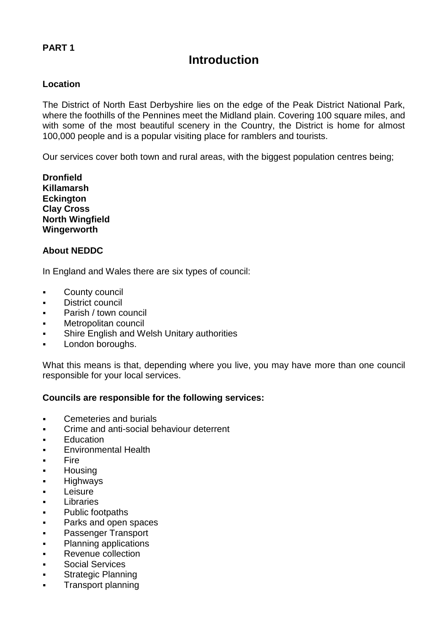# **Introduction**

### **Location**

The District of North East Derbyshire lies on the edge of the Peak District National Park, where the foothills of the Pennines meet the Midland plain. Covering 100 square miles, and with some of the most beautiful scenery in the Country, the District is home for almost 100,000 people and is a popular visiting place for ramblers and tourists.

Our services cover both town and rural areas, with the biggest population centres being;

**Dronfield Killamarsh Eckington Clay Cross North Wingfield Wingerworth**

#### **About NEDDC**

In England and Wales there are six types of council:

- County council
- **District council**
- Parish / town council
- Metropolitan council
- Shire English and Welsh Unitary authorities
- **London boroughs.**

What this means is that, depending where you live, you may have more than one council responsible for your local services.

#### **Councils are responsible for the following services:**

- **Cemeteries and burials**
- **Crime and anti-social behaviour deterrent**
- **Education**
- **Environmental Health**
- Fire
- **Housing**
- **-** Highways
- **Leisure**
- **Libraries**
- **-** Public footpaths
- **Parks and open spaces**
- **Passenger Transport**
- Planning applications
- Revenue collection
- Social Services
- Strategic Planning
- Transport planning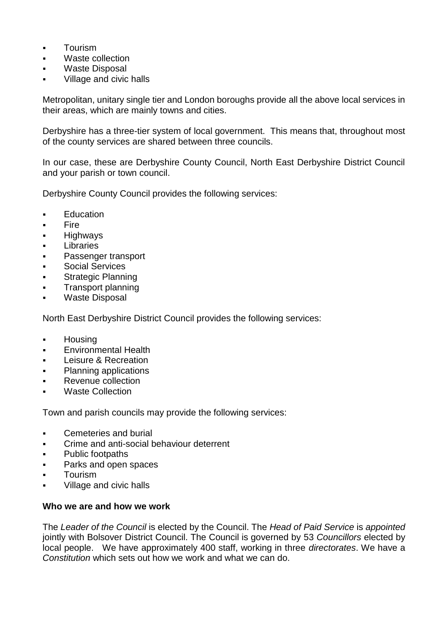- **Tourism**
- Waste collection
- Waste Disposal
- Village and civic halls

Metropolitan, unitary single tier and London boroughs provide all the above local services in their areas, which are mainly towns and cities.

Derbyshire has a three-tier system of local government. This means that, throughout most of the county services are shared between three councils.

In our case, these are Derbyshire County Council, North East Derbyshire District Council and your parish or town council.

Derbyshire County Council provides the following services:

- **[Education](http://www.derbyshire.gov.uk/education/)**
- $\blacksquare$ [Fire](http://www.derbyshire-fire-service.co.uk/)
- **-** [Highways](http://www.derbyshire.gov.uk/transport_roads/)
- [Libraries](http://www.derbyshire.gov.uk/leisure/libraries/)
- **[Passenger transport](http://www.derbyshire.gov.uk/transport_roads)**
- **[Social Services](http://www.derbyshire.gov.uk/Social_health/)**
- [Strategic Planning](http://www.derbyshire.gov.uk/council/meetings_decisions/forward_plan/default.asp)
- [Transport planning](http://www.derbyshire.gov.uk/transport_roads/transport_planning/default.asp)
- [Waste Disposal](http://www.derbyshire.gov.uk/environment/rubbish_waste/)

North East Derbyshire District Council provides the following services:

- **[Housing](http://www.ne-derbyshire.gov.uk/housing)**
- **[Environmental Health](http://www.ne-derbyshire.gov.uk/services/environmental-health)**
- **[Leisure & Recreation](http://www.ne-derbyshire.gov.uk/leisure)**
- [Planning applications](http://www.ne-derbyshire.gov.uk/services/planning-)
- **[Revenue collection](http://www.ne-derbyshire.gov.uk/advice-and-benefits)**
- [Waste Collection](http://www.ne-derbyshire.gov.uk/services/refuse-collection)

Town and parish councils may provide the following services:

- **EXEC** Cemeteries and burial
- Crime and anti-social behaviour deterrent
- **•** Public footpaths
- Parks and open spaces
- Tourism
- Village and civic halls

# **Who we are and how we work**

The *Leader of the Council* is elected by the Council. The *Head of Paid Service* is *appointed*  jointly with Bolsover District Council. The Council is governed by 53 *Councillors* elected by local people. We have approximately 400 staff, working in three *directorates*. We have a *Constitution* which sets out how we work and what we can do.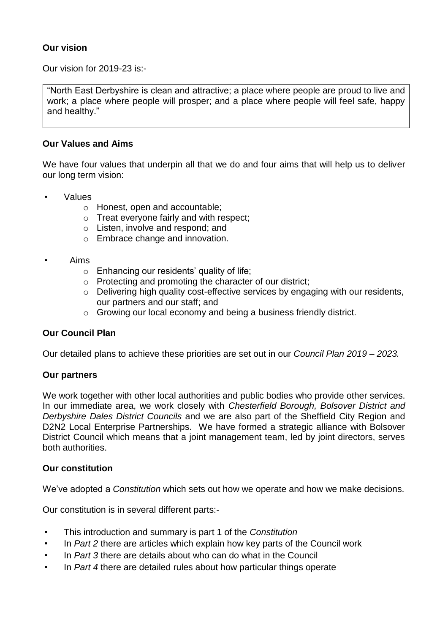# **Our vision**

Our vision for 2019-23 is:-

"North East Derbyshire is clean and attractive; a place where people are proud to live and work; a place where people will prosper; and a place where people will feel safe, happy and healthy."

# **Our Values and Aims**

We have four values that underpin all that we do and four aims that will help us to deliver our long term vision:

- **Values** 
	- o Honest, open and accountable;
	- o Treat everyone fairly and with respect;
	- o Listen, involve and respond; and
	- o Embrace change and innovation.
- Aims
	- o Enhancing our residents' quality of life;
	- o Protecting and promoting the character of our district;
	- o Delivering high quality cost-effective services by engaging with our residents, our partners and our staff; and
	- o Growing our local economy and being a business friendly district.

# **Our Council Plan**

Our detailed plans to achieve these priorities are set out in our *Council Plan 2019 – 2023.*

# **Our partners**

We work together with other local authorities and public bodies who provide other services. In our immediate area, we work closely with *Chesterfield Borough, Bolsover District and Derbyshire Dales District Councils* and we are also part of the Sheffield City Region and D2N2 Local Enterprise Partnerships. We have formed a strategic alliance with Bolsover District Council which means that a joint management team, led by joint directors, serves both authorities.

# **Our constitution**

We've adopted a *Constitution* which sets out how we operate and how we make decisions.

Our constitution is in several different parts:-

- This introduction and summary is part 1 of the *Constitution*
- In *Part 2* there are articles which explain how key parts of the Council work
- In *Part 3* there are details about who can do what in the Council
- In *Part 4* there are detailed rules about how particular things operate